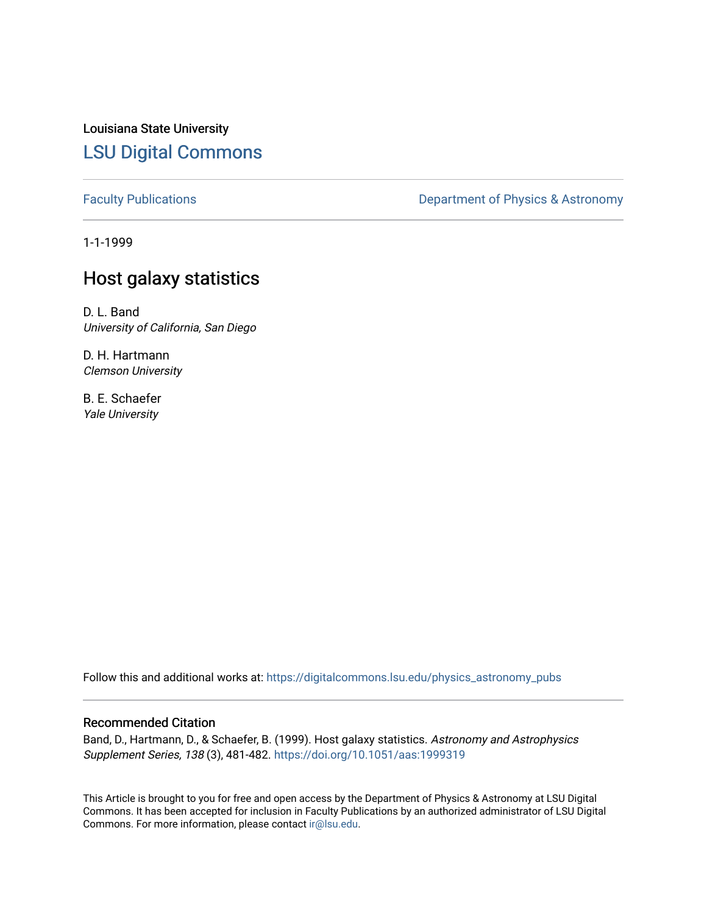Louisiana State University [LSU Digital Commons](https://digitalcommons.lsu.edu/)

[Faculty Publications](https://digitalcommons.lsu.edu/physics_astronomy_pubs) **Exercise 2** Constant Department of Physics & Astronomy

1-1-1999

# Host galaxy statistics

D. L. Band University of California, San Diego

D. H. Hartmann Clemson University

B. E. Schaefer Yale University

Follow this and additional works at: [https://digitalcommons.lsu.edu/physics\\_astronomy\\_pubs](https://digitalcommons.lsu.edu/physics_astronomy_pubs?utm_source=digitalcommons.lsu.edu%2Fphysics_astronomy_pubs%2F4782&utm_medium=PDF&utm_campaign=PDFCoverPages) 

### Recommended Citation

Band, D., Hartmann, D., & Schaefer, B. (1999). Host galaxy statistics. Astronomy and Astrophysics Supplement Series, 138 (3), 481-482.<https://doi.org/10.1051/aas:1999319>

This Article is brought to you for free and open access by the Department of Physics & Astronomy at LSU Digital Commons. It has been accepted for inclusion in Faculty Publications by an authorized administrator of LSU Digital Commons. For more information, please contact [ir@lsu.edu](mailto:ir@lsu.edu).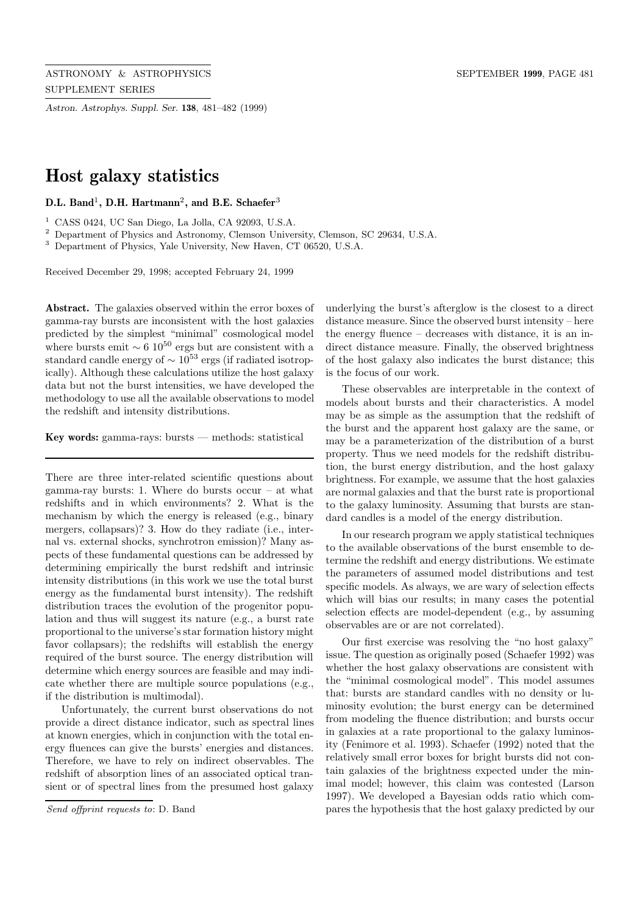*Astron. Astrophys. Suppl. Ser.* **138**, 481–482 (1999)

# **Host galaxy statistics**

#### **D.L. Band**<sup>1</sup>**, D.H. Hartmann**<sup>2</sup>**, and B.E. Schaefer**<sup>3</sup>

 $1$  CASS 0424, UC San Diego, La Jolla, CA 92093, U.S.A.

<sup>2</sup> Department of Physics and Astronomy, Clemson University, Clemson, SC 29634, U.S.A.

<sup>3</sup> Department of Physics, Yale University, New Haven, CT 06520, U.S.A.

Received December 29, 1998; accepted February 24, 1999

**Abstract.** The galaxies observed within the error boxes of gamma-ray bursts are inconsistent with the host galaxies predicted by the simplest "minimal" cosmological model where bursts emit  $\sim 6 \times 10^{50}$  ergs but are consistent with a standard candle energy of  $\sim 10^{53}$  ergs (if radiated isotropically). Although these calculations utilize the host galaxy data but not the burst intensities, we have developed the methodology to use all the available observations to model the redshift and intensity distributions.

**Key words:** gamma-rays: bursts — methods: statistical

There are three inter-related scientific questions about gamma-ray bursts: 1. Where do bursts occur – at what redshifts and in which environments? 2. What is the mechanism by which the energy is released (e.g., binary mergers, collapsars)? 3. How do they radiate (i.e., internal vs. external shocks, synchrotron emission)? Many aspects of these fundamental questions can be addressed by determining empirically the burst redshift and intrinsic intensity distributions (in this work we use the total burst energy as the fundamental burst intensity). The redshift distribution traces the evolution of the progenitor population and thus will suggest its nature (e.g., a burst rate proportional to the universe's star formation history might favor collapsars); the redshifts will establish the energy required of the burst source. The energy distribution will determine which energy sources are feasible and may indicate whether there are multiple source populations (e.g., if the distribution is multimodal).

Unfortunately, the current burst observations do not provide a direct distance indicator, such as spectral lines at known energies, which in conjunction with the total energy fluences can give the bursts' energies and distances. Therefore, we have to rely on indirect observables. The redshift of absorption lines of an associated optical transient or of spectral lines from the presumed host galaxy

underlying the burst's afterglow is the closest to a direct distance measure. Since the observed burst intensity – here the energy fluence – decreases with distance, it is an indirect distance measure. Finally, the observed brightness of the host galaxy also indicates the burst distance; this is the focus of our work.

These observables are interpretable in the context of models about bursts and their characteristics. A model may be as simple as the assumption that the redshift of the burst and the apparent host galaxy are the same, or may be a parameterization of the distribution of a burst property. Thus we need models for the redshift distribution, the burst energy distribution, and the host galaxy brightness. For example, we assume that the host galaxies are normal galaxies and that the burst rate is proportional to the galaxy luminosity. Assuming that bursts are standard candles is a model of the energy distribution.

In our research program we apply statistical techniques to the available observations of the burst ensemble to determine the redshift and energy distributions. We estimate the parameters of assumed model distributions and test specific models. As always, we are wary of selection effects which will bias our results; in many cases the potential selection effects are model-dependent (e.g., by assuming observables are or are not correlated).

Our first exercise was resolving the "no host galaxy" issue. The question as originally posed (Schaefer 1992) was whether the host galaxy observations are consistent with the "minimal cosmological model". This model assumes that: bursts are standard candles with no density or luminosity evolution; the burst energy can be determined from modeling the fluence distribution; and bursts occur in galaxies at a rate proportional to the galaxy luminosity (Fenimore et al. 1993). Schaefer (1992) noted that the relatively small error boxes for bright bursts did not contain galaxies of the brightness expected under the minimal model; however, this claim was contested (Larson 1997). We developed a Bayesian odds ratio which compares the hypothesis that the host galaxy predicted by our

Send offprint requests to: D. Band